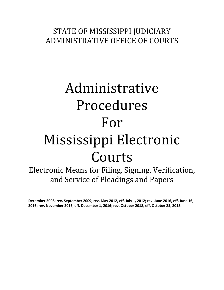# STATE OF MISSISSIPPI JUDICIARY ADMINISTRATIVE OFFICE OF COURTS

# Administrative Procedures For Mississippi Electronic Courts

Electronic Means for Filing, Signing, Verification, and Service of Pleadings and Papers

**December 2008; rev. September 2009; rev. May 2012, eff. July 1, 2012; rev. June 2016, eff. June 16, 2016; rev. November 2016, eff. December 1, 2016; rev. October 2018, eff. October 25, 2018.**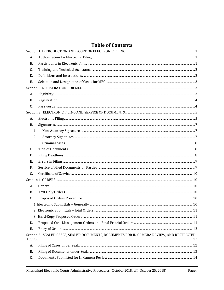# **Table of Contents**

| А.        |                                                                                           |  |  |  |  |
|-----------|-------------------------------------------------------------------------------------------|--|--|--|--|
| <b>B.</b> |                                                                                           |  |  |  |  |
| C.        |                                                                                           |  |  |  |  |
| D.        |                                                                                           |  |  |  |  |
| Ε.        |                                                                                           |  |  |  |  |
|           |                                                                                           |  |  |  |  |
| A.        |                                                                                           |  |  |  |  |
| <b>B.</b> |                                                                                           |  |  |  |  |
| C.        |                                                                                           |  |  |  |  |
|           |                                                                                           |  |  |  |  |
| A.        |                                                                                           |  |  |  |  |
| В.        |                                                                                           |  |  |  |  |
| 1.        |                                                                                           |  |  |  |  |
| 2.        |                                                                                           |  |  |  |  |
| 3.        |                                                                                           |  |  |  |  |
| C.        |                                                                                           |  |  |  |  |
| D.        |                                                                                           |  |  |  |  |
| Е.        |                                                                                           |  |  |  |  |
| F.        |                                                                                           |  |  |  |  |
| G.        |                                                                                           |  |  |  |  |
|           |                                                                                           |  |  |  |  |
| A.        |                                                                                           |  |  |  |  |
| B.        |                                                                                           |  |  |  |  |
| C.        |                                                                                           |  |  |  |  |
|           |                                                                                           |  |  |  |  |
|           |                                                                                           |  |  |  |  |
|           |                                                                                           |  |  |  |  |
| D.        |                                                                                           |  |  |  |  |
| Ε.        |                                                                                           |  |  |  |  |
|           | Section 5. SEALED CASES, SEALED DOCUMENTS, DOCUMENTS FOR IN CAMERA REVIEW, AND RESTRICTED |  |  |  |  |
| A.        |                                                                                           |  |  |  |  |
| B.        |                                                                                           |  |  |  |  |
| C.        |                                                                                           |  |  |  |  |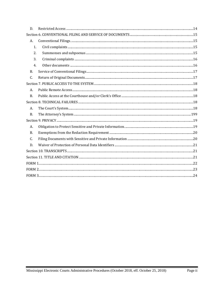| D.        |  |  |
|-----------|--|--|
|           |  |  |
| A.        |  |  |
| 1.        |  |  |
| 2.        |  |  |
| 3.        |  |  |
| 4.        |  |  |
| <b>B.</b> |  |  |
| C.        |  |  |
|           |  |  |
| А.        |  |  |
| <b>B.</b> |  |  |
|           |  |  |
| А.        |  |  |
| <b>B.</b> |  |  |
|           |  |  |
| A.        |  |  |
| B.        |  |  |
| C.        |  |  |
| D.        |  |  |
|           |  |  |
|           |  |  |
|           |  |  |
|           |  |  |
|           |  |  |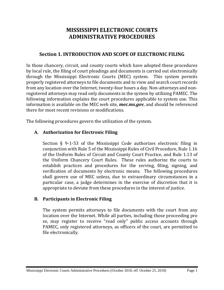# **MISSISSIPPI ELECTRONIC COURTS ADMINISTRATIVE PROCEDURES**

# **Section 1. INTRODUCTION AND SCOPE OF ELECTRONIC FILING**

<span id="page-3-0"></span>In those chancery, circuit, and county courts which have adopted these procedures by local rule, the filing of court pleadings and documents is carried out electronically through the Mississippi Electronic Courts (MEC) system. This system permits properly registered attorneys to file documents and to view and search court records from any location over the Internet, twenty-four hours a day. Non-attorneys and nonregistered attorneys may read only documents in the system by utilizing PAMEC. The following information explains the court procedures applicable to system use. This information is available on the MEC web site, *mec.ms.gov*, and should be referenced there for most recent revisions or modifications.

The following procedures govern the utilization of the system.

#### <span id="page-3-1"></span>**A. Authorization for Electronic Filing**

Section § 9-1-53 of the Mississippi Code authorizes electronic filing in conjunction with Rule 5 of the Mississippi Rules of Civil Procedure, Rule 1.16 of the Uniform Rules of Circuit and County Court Practice, and Rule 1.13 of the Uniform Chancery Court Rules. These rules authorize the courts to establish practices and procedures for the serving, filing, signing, and verification of documents by electronic means. The following procedures shall govern use of MEC unless, due to extraordinary circumstances in a particular case, a judge determines in the exercise of discretion that it is appropriate to deviate from these procedures in the interest of justice.

#### <span id="page-3-2"></span>**B. Participants in Electronic Filing**

The system permits attorneys to file documents with the court from any location over the Internet. While all parties, including those proceeding pro se, may register to receive "read only" public access accounts through PAMEC, only registered attorneys, as officers of the court, are permitted to file electronically.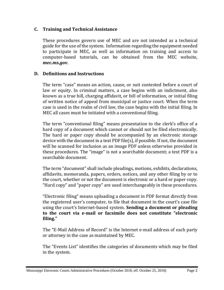#### <span id="page-4-0"></span>**C. Training and Technical Assistance**

These procedures govern use of MEC and are not intended as a technical guide for the use of the system. Information regarding the equipment needed to participate in MEC, as well as information on training and access to computer-based tutorials, can be obtained from the MEC website, *mec.ms.gov*.

## <span id="page-4-1"></span>**D. Definitions and Instructions**

The term "case" means an action, cause, or suit contested before a court of law or equity. In criminal matters, a case begins with an indictment, also known as a true bill, charging affidavit, or bill of information, or initial filing of written notice of appeal from municipal or justice court. When the term case is used in the realm of civil law, the case begins with the initial filing. In MEC all cases must be initiated with a conventional filing.

The term "conventional filing" means presentation to the clerk's office of a hard copy of a document which cannot or should not be filed electronically. The hard or paper copy should be accompanied by an electronic storage device with the document in a text PDF file(s), if possible. If not, the document will be scanned for inclusion as an image PDF unless otherwise provided in these procedures. The "image" is not a searchable document; a text PDF is a searchable document.

The term "document" shall include pleadings, motions, exhibits, declarations, affidavits, memoranda, papers, orders, notices, and any other filing by or to the court, whether or not the document is electronic or a hard or paper copy. "Hard copy" and "paper copy" are used interchangeably in these procedures.

"Electronic filing" means uploading a document in PDF format directly from the registered user's computer, to file that document in the court's case file using the court's Internet-based system. **Sending a document or pleading to the court via e-mail or facsimile does not constitute "electronic filing."**

The "E-Mail Address of Record" is the Internet e-mail address of each party or attorney in the case as maintained by MEC.

The "Events List" identifies the categories of documents which may be filed in the system.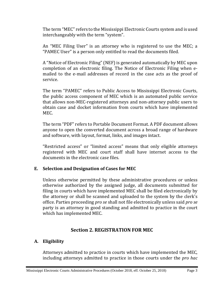The term "MEC" refers to the Mississippi Electronic Courts system and is used interchangeably with the term "system".

An "MEC Filing User" is an attorney who is registered to use the MEC; a "PAMEC User" is a person only entitled to read the documents filed.

A "Notice of Electronic Filing" (NEF) is generated automatically by MEC upon completion of an electronic filing. The Notice of Electronic Filing when emailed to the e-mail addresses of record in the case acts as the proof of service.

The term "PAMEC" refers to Public Access to Mississippi Electronic Courts, the public access component of MEC which is an automated public service that allows non-MEC-registered attorneys and non-attorney public users to obtain case and docket information from courts which have implemented MEC.

The term "PDF" refers to Portable Document Format. A PDF document allows anyone to open the converted document across a broad range of hardware and software, with layout, format, links, and images intact.

"Restricted access" or "limited access" means that only eligible attorneys registered with MEC and court staff shall have internet access to the documents in the electronic case files.

## <span id="page-5-0"></span>**E. Selection and Designation of Cases for MEC**

Unless otherwise permitted by these administrative procedures or unless otherwise authorized by the assigned judge, all documents submitted for filing in courts which have implemented MEC shall be filed electronically by the attorney or shall be scanned and uploaded to the system by the clerk's office. Parties proceeding *pro se* shall not file electronically unless said *pro se* party is an attorney in good standing and admitted to practice in the court which has implemented MEC.

# **Section 2. REGISTRATION FOR MEC**

# <span id="page-5-2"></span><span id="page-5-1"></span>**A. Eligibility**

Attorneys admitted to practice in courts which have implemented the MEC, including attorneys admitted to practice in those courts under the *pro hac*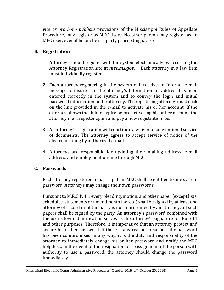*vice or pro bono publicus* provisions of the Mississippi Rules of Appellate Procedure, may register as MEC Users. No other person may register as an MEC user, even if he or she is a party proceeding *pro se*.

# <span id="page-6-0"></span>**B. Registration**

- 1. Attorneys should register with the system electronically by accessing the Attorney Registration site at *mec.ms.gov*. Each attorney in a law firm must individually register.
- 2. Each attorney registering in the system will receive an Internet e-mail message to insure that the attorney's Internet e-mail address has been entered correctly in the system and to convey the login and initial password information to the attorney. The registering attorney must click on the link provided in the e-mail to activate his or her account. If the attorney allows the link to expire before activating his or her account, the attorney must register again and pay a new registration fee.
- 3. An attorney's registration will constitute a waiver of conventional service of documents. The attorney agrees to accept service of notice of the electronic filing by authorized e-mail.
- 4. Attorneys are responsible for updating their mailing address, e-mail address, and employment on-line through MEC.

# <span id="page-6-1"></span>**C. Passwords**

Each attorney registered to participate in MEC shall be entitled to one system password. Attorneys may change their own passwords.

Pursuant to M.R.C.P. 11, every pleading, motion, and other paper (except lists, schedules, statements or amendments thereto) shall be signed by at least one attorney of record or, if the party is not represented by an attorney, all such papers shall be signed by the party. An attorney's password combined with the user's login identification serves as the attorney's signature for Rule 11 and other purposes. Therefore, it is imperative that an attorney protect and secure his or her password. If there is any reason to suspect the password has been compromised in any way, it is the duty and responsibility of the attorney to immediately change his or her password and notify the MEC helpdesk. In the event of the resignation or reassignment of the person with authority to use a password, the attorney should change the password immediately.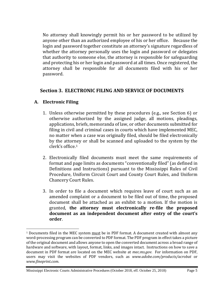No attorney shall knowingly permit his or her password to be utilized by anyone other than an authorized employee of his or her office. Because the login and password together constitute an attorney's signature regardless of whether the attorney personally uses the login and password or delegates that authority to someone else, the attorney is responsible for safeguarding and protecting his or her login and password at all times. Once registered, the attorney shall be responsible for all documents filed with his or her password.

## **Section 3. ELECTRONIC FILING AND SERVICE OF DOCUMENTS**

## <span id="page-7-1"></span><span id="page-7-0"></span>**A. Electronic Filing**

 $\overline{a}$ 

- 1. Unless otherwise permitted by these procedures (e.g., see Section 6) or otherwise authorized by the assigned judge, all motions, pleadings, applications, briefs, memoranda of law, or other documents submitted for filing in civil and criminal cases in courts which have implemented MEC, no matter when a case was originally filed, should be filed electronically by the attorney or shall be scanned and uploaded to the system by the clerk's office.[1](#page-7-2)
- 2. Electronically filed documents must meet the same requirements of format and page limits as documents "conventionally filed" (as defined in Definitions and Instructions) pursuant to the Mississippi Rules of Civil Procedure, Uniform Circuit Court and County Court Rules, and Uniform Chancery Court Rules.
- 3. In order to file a document which requires leave of court such as an amended complaint or a document to be filed out of time, the proposed document shall be attached as an exhibit to a motion. If the motion is granted, **the attorney must electronically re-file the proposed document as an independent document after entry of the court's order**.

Mississippi Electronic Courts Administrative Procedures (October 2018, eff. October 25, 2018) Page 5

<span id="page-7-2"></span><sup>&</sup>lt;sup>1</sup> Documents filed in the MEC system must be in PDF format. A document created with almost any word-processing program can be converted to PDF format. The PDF program in effect takes a picture of the original document and allows anyone to open the converted document across a broad range of hardware and software, with layout, format, links, and images intact. Instructions on how to save a document in PDF format are located on the MEC website at *mec.ms.gov*. For information on PDF, users may visit the websites of PDF vendors, such as *www.adobe.com/products/acrobat* or *www.fineprint.com*.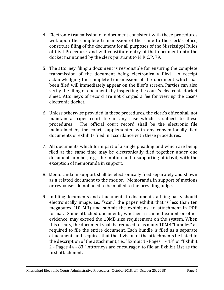- 4. Electronic transmission of a document consistent with these procedures will, upon the complete transmission of the same to the clerk's office, constitute filing of the document for all purposes of the Mississippi Rules of Civil Procedure, and will constitute entry of that document onto the docket maintained by the clerk pursuant to M.R.C.P. 79.
- 5. The attorney filing a document is responsible for ensuring the complete transmission of the document being electronically filed. A receipt acknowledging the complete transmission of the document which has been filed will immediately appear on the filer's screen. Parties can also verify the filing of documents by inspecting the court's electronic docket sheet. Attorneys of record are not charged a fee for viewing the case's electronic docket.
- 6. Unless otherwise provided in these procedures, the clerk's office shall not maintain a paper court file in any case which is subject to these procedures. The official court record shall be the electronic file The official court record shall be the electronic file maintained by the court, supplemented with any conventionally-filed documents or exhibits filed in accordance with these procedures.
- 7. All documents which form part of a single pleading and which are being filed at the same time may be electronically filed together under one document number, e.g., the motion and a supporting affidavit, with the exception of memoranda in support.
- 8. Memoranda in support shall be electronically filed separately and shown as a related document to the motion. Memoranda in support of motions or responses do not need to be mailed to the presiding judge.
- 9. In filing documents and attachments to documents, a filing party should electronically image, i.e., "scan," the paper exhibit that is less than ten megabytes (10 MB) and submit the exhibit as an attachment in PDF format. Some attached documents, whether a scanned exhibit or other evidence, may exceed the 10MB size requirement on the system. When this occurs, the document shall be reduced to as many 10MB "bundles" as required to file the entire document. Each bundle is filed as a separate attachment, and requires that the division of the attachments be listed in the description of the attachment, i.e., "Exhibit 1 - Pages 1 - 43" or "Exhibit 2 - Pages 44 - 83." Attorneys are encouraged to file an Exhibit List as the first attachment.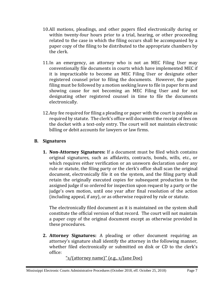- 10.All motions, pleadings, and other papers filed electronically during or within twenty-four hours prior to a trial, hearing, or other proceeding related to the case in which the filing occurs shall be accompanied by a paper copy of the filing to be distributed to the appropriate chambers by the clerk.
- 11.In an emergency, an attorney who is not an MEC Filing User may conventionally file documents in courts which have implemented MEC if it is impracticable to become an MEC Filing User or designate other registered counsel prior to filing the documents. However, the paper filing must be followed by a motion seeking leave to file in paper form and showing cause for not becoming an MEC Filing User and for not designating other registered counsel in time to file the documents electronically.
- 12.Any fee required for filing a pleading or paper with the court is payable as required by statute. The clerk's office will document the receipt of fees on the docket with a text-only entry. The court will not maintain electronic billing or debit accounts for lawyers or law firms.

## <span id="page-9-1"></span><span id="page-9-0"></span>**B. Signatures**

**1. Non-Attorney Signatures:** If a document must be filed which contains original signatures, such as affidavits, contracts, bonds, wills, etc., or which requires either verification or an unsworn declaration under any rule or statute, the filing party or the clerk's office shall scan the original document, electronically file it on the system, and the filing party shall retain the originally executed copies for subsequent production to the assigned judge if so ordered for inspection upon request by a party or the judge's own motion, until one year after final resolution of the action (including appeal, if any), or as otherwise required by rule or statute.

The electronically filed document as it is maintained on the system shall constitute the official version of that record. The court will not maintain a paper copy of the original document except as otherwise provided in these procedures.

<span id="page-9-2"></span>**2. Attorney Signatures:** A pleading or other document requiring an attorney's signature shall identify the attorney in the following manner, whether filed electronically or submitted on disk or CD to the clerk's office:

"s/(attorney name)" (e.g., s/Jane Doe)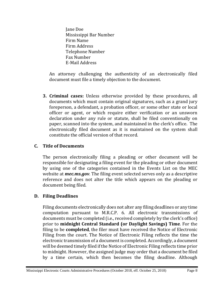Jane Doe Mississippi Bar Number Firm Name Firm Address Telephone Number Fax Number E-Mail Address

An attorney challenging the authenticity of an electronically filed document must file a timely objection to the document.

<span id="page-10-0"></span>**3. Criminal cases:** Unless otherwise provided by these procedures, all documents which must contain original signatures, such as a grand jury foreperson, a defendant, a probation officer, or some other state or local officer or agent, or which require either verification or an unsworn declaration under any rule or statute, shall be filed conventionally on paper, scanned into the system, and maintained in the clerk's office. The electronically filed document as it is maintained on the system shall constitute the official version of that record.

#### <span id="page-10-1"></span>**C. Title of Documents**

The person electronically filing a pleading or other document will be responsible for designating a filing event for the pleading or other document by using one of the categories contained in the Events List on the MEC website at *mec.ms.gov*. The filing event selected serves only as a descriptive reference and does not alter the title which appears on the pleading or document being filed.

## <span id="page-10-2"></span>**D. Filing Deadlines**

Filing documents electronically does not alter any filing deadlines or any time computation pursuant to M.R.C.P. 6. All electronic transmissions of documents must be completed (i.e., received completely by the clerk's office) prior to **midnight Central Standard (or Daylight Savings) Time**. For the filing to be **completed**, the filer must have received the Notice of Electronic Filing from the court. The Notice of Electronic Filing reflects the time the electronic transmission of a document is completed. Accordingly, a document will be deemed timely filed if the Notice of Electronic Filing reflects time prior to midnight. However, the assigned judge may order that a document be filed by a time certain, which then becomes the filing deadline. Although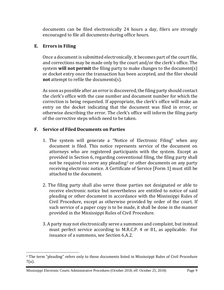documents can be filed electronically 24 hours a day, filers are strongly encouraged to file all documents during office hours.

# <span id="page-11-0"></span>**E. Errors in Filing**

 $\overline{a}$ 

Once a document is submitted electronically, it becomes part of the court file, and corrections may be made only by the court and/or the clerk's office. The system **will not permit** the filing party to make changes to the document(s) or docket entry once the transaction has been accepted, and the filer should **not** attempt to refile the documents(s).

As soon as possible after an error is discovered, the filing party should contact the clerk's office with the case number and document number for which the correction is being requested. If appropriate, the clerk's office will make an entry on the docket indicating that the document was filed in error, or otherwise describing the error. The clerk's office will inform the filing party of the corrective steps which need to be taken.

# <span id="page-11-1"></span>**F. Service of Filed Documents on Parties**

- 1. The system will generate a "Notice of Electronic Filing" when any document is filed. This notice represents service of the document on attorneys who are registered participants with the system. Except as provided in Section 6, regarding conventional filing, the filing party shall not be required to serve any pleading<sup>[2](#page-11-2)</sup> or other documents on any party receiving electronic notice. A Certificate of Service [Form 1] must still be attached to the document.
- 2. The filing party shall also serve those parties not designated or able to receive electronic notice but nevertheless are entitled to notice of said pleading or other document in accordance with the Mississippi Rules of Civil Procedure, except as otherwise provided by order of the court. If such service of a paper copy is to be made, it shall be done in the manner provided in the Mississippi Rules of Civil Procedure.
- 3. A party may not electronically serve a summons and complaint, but instead must perfect service according to M.R.C.P. 4 or 81, as applicable. For issuance of a summons, see Section 6.A.2.

<span id="page-11-2"></span><sup>&</sup>lt;sup>2</sup> The term "pleading" refers only to those documents listed in Mississippi Rules of Civil Procedure 7(a).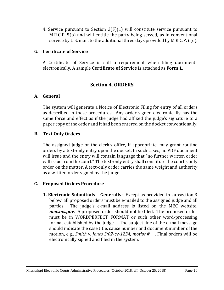4. Service pursuant to Section 3(F)(1) will constitute service pursuant to M.R.C.P. 5(b) and will entitle the party being served, as in conventional service by U.S. mail, to the additional three days provided by M.R.C.P. 6(e).

#### <span id="page-12-0"></span>**G. Certificate of Service**

A Certificate of Service is still a requirement when filing documents electronically. A sample **Certificate of Service** is attached as **Form 1**.

## **Section 4. ORDERS**

#### <span id="page-12-2"></span><span id="page-12-1"></span>**A. General**

The system will generate a Notice of Electronic Filing for entry of all orders as described in these procedures. Any order signed electronically has the same force and effect as if the judge had affixed the judge's signature to a paper copy of the order and it had been entered on the docket conventionally.

#### <span id="page-12-3"></span>**B. Text Only Orders**

The assigned judge or the clerk's office, if appropriate, may grant routine orders by a text-only entry upon the docket. In such cases, no PDF document will issue and the entry will contain language that "no further written order will issue from the court." The text-only entry shall constitute the court's only order on the matter. A text-only order carries the same weight and authority as a written order signed by the judge.

#### <span id="page-12-5"></span><span id="page-12-4"></span>**C. Proposed Orders Procedure**

**1. Electronic Submittals – Generally**: Except as provided in subsection 3 below, all proposed orders must be e-mailed to the assigned judge and all parties. The judge's e-mail address is listed on the MEC website, *mec.ms.gov*. A proposed order should not be filed. The proposed order must be in WORDPERFECT FORMAT or such other word-processing format established by the judge. The subject line of the e-mail message should indicate the case title, cause number and document number of the motion, e.g., *Smith v. Jones 3:02-cv-1234, motion#\_\_\_*. Final orders will be electronically signed and filed in the system.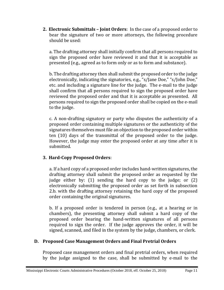<span id="page-13-0"></span>**2. Electronic Submittals – Joint Orders**: In the case of a proposed order to bear the signature of two or more attorneys, the following procedure should be used:

a. The drafting attorney shall initially confirm that all persons required to sign the proposed order have reviewed it and that it is acceptable as presented (e.g., agreed as to form only or as to form and substance).

b. The drafting attorney then shall submit the proposed order to the judge electronically, indicating the signatories, e.g., "s/Jane Doe," "s/John Doe," etc. and including a signature line for the judge. The e-mail to the judge shall confirm that all persons required to sign the proposed order have reviewed the proposed order and that it is acceptable as presented. All persons required to sign the proposed order shall be copied on the e-mail to the judge.

c. A non-drafting signatory or party who disputes the authenticity of a proposed order containing multiple signatures or the authenticity of the signatures themselves must file an objection to the proposed order within ten (10) days of the transmittal of the proposed order to the judge. However, the judge may enter the proposed order at any time after it is submitted.

# <span id="page-13-1"></span>**3. Hard-Copy Proposed Orders**:

a. If a hard copy of a proposed order includes hand-written signatures, the drafting attorney shall submit the proposed order as requested by the judge either by: (1) sending the hard copy to the judge; or (2) electronically submitting the proposed order as set forth in subsection 2.b. with the drafting attorney retaining the hard copy of the proposed order containing the original signatures.

b. If a proposed order is tendered in person (e.g., at a hearing or in chambers), the presenting attorney shall submit a hard copy of the proposed order bearing the hand-written signatures of all persons required to sign the order. If the judge approves the order, it will be signed, scanned, and filed in the system by the judge, chambers, or clerk.

# <span id="page-13-2"></span>**D. Proposed Case Management Orders and Final Pretrial Orders**

Proposed case management orders and final pretrial orders, when required by the judge assigned to the case, shall be submitted by e-mail to the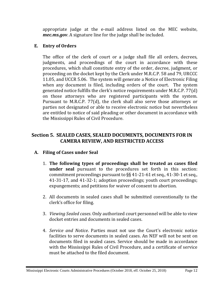appropriate judge at the e-mail address listed on the MEC website, *mec.ms.gov*. A signature line for the judge shall be included.

## <span id="page-14-0"></span>**E. Entry of Orders**

The office of the clerk of court or a judge shall file all orders, decrees, judgments, and proceedings of the court in accordance with these procedures, which shall constitute entry of the order, decree, judgment, or proceeding on the docket kept by the Clerk under M.R.C.P. 58 and 79, URCCC 11.05, and UCCR 5.06. The system will generate a Notice of Electronic Filing when any document is filed, including orders of the court. The system generated notice fulfills the clerk's notice requirements under M.R.C.P. 77(d) on those attorneys who are registered participants with the system. Pursuant to M.R.C.P. 77(d), the clerk shall also serve those attorneys or parties not designated or able to receive electronic notice but nevertheless are entitled to notice of said pleading or other document in accordance with the Mississippi Rules of Civil Procedure.

# <span id="page-14-1"></span>**Section 5. SEALED CASES, SEALED DOCUMENTS, DOCUMENTS FOR IN CAMERA REVIEW, AND RESTRICTED ACCESS**

## <span id="page-14-2"></span>**A. Filing of Cases under Seal**

- 1. **The following types of proceedings shall be treated as cases filed under seal** pursuant to the procedures set forth in this section: commitment proceedings pursuant to §§ 41-21-61 et seq., 41-30-1 et seq., 41-31-17, and 41-32-1; adoption proceedings; youth court proceedings; expungements; and petitions for waiver of consent to abortion.
- 2. All documents in sealed cases shall be submitted conventionally to the clerk's office for filing.
- 3. *Viewing Sealed cases*. Only authorized court personnel will be able to view docket entries and documents in sealed cases.
- 4. *Service and Notice*. Parties must not use the Court's electronic notice facilities to serve documents in sealed cases. An NEF will not be sent on documents filed in sealed cases. Service should be made in accordance with the Mississippi Rules of Civil Procedure, and a certificate of service must be attached to the filed document.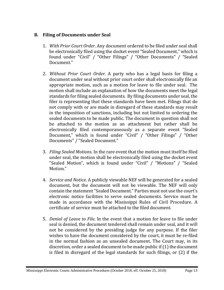## <span id="page-15-0"></span>**B. Filing of Documents under Seal**

- 1. *With Prior Court Order*. Any document ordered to be filed under seal shall be electronically filed using the docket event "Sealed Document," which is found under "Civil" / "Other Filings" / "Other Documents" / "Sealed Document."
- 2. *Without Prior Court Order*. A party who has a legal basis for filing a document under seal without prior court order shall electronically file an appropriate motion, such as a motion for leave to file under seal. The motion shall include an explanation of how the documents meet the legal standards for filing sealed documents. By filing documents under seal, the filer is representing that these standards have been met. Filings that do not comply with or are made in disregard of these standards may result in the imposition of sanctions, including but not limited to ordering the sealed documents to be made public. The document in question shall not be attached to the motion as an attachment but rather shall be electronically filed contemporaneously as a separate event "Sealed Document," which is found under "Civil" / "Other Filings" / "Other Documents" / "Sealed Document."
- 3. *Filing Sealed Motions*. In the rare event that the motion must itself be filed under seal, the motion shall be electronically filed using the docket event "Sealed Motion", which is found under "Civil" / "Motions" / "Sealed Motion."
- 4. *Service and Notice*. A publicly viewable NEF will be generated for a sealed document, but the document will not be viewable. The NEF will only contain the statement "Sealed Document." Parties must not use the court's electronic notice facilities to serve sealed documents. Service must be made in accordance with the Mississippi Rules of Civil Procedure. A certificate of service must be attached to the filed document.
- 5. *Denial of Leave to File*. In the event that a motion for leave to file under seal is denied, the document tendered shall remain under seal, and it will not be considered by the presiding judge for any purpose. If the filer wishes to have the document considered by the court, it must be re-filed in the normal fashion as an unsealed document. The Court may, in its discretion, order a sealed document to be made public if (1) the document is filed in disregard of the legal standards for such filings, or (2) if the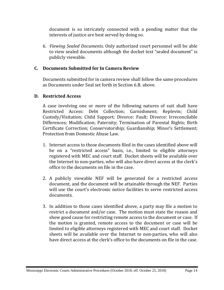document is so intricately connected with a pending matter that the interests of justice are best served by doing so.

6. *Viewing Sealed Documents*. Only authorized court personnel will be able to view sealed documents although the docket text "sealed document" is publicly viewable.

# <span id="page-16-0"></span>**C. Documents Submitted for In Camera Review**

Documents submitted for in camera review shall follow the same procedures as Documents under Seal set forth in Section 6.B. above.

#### <span id="page-16-1"></span>**D. Restricted Access**

A case involving one or more of the following natures of suit shall have Restricted Access: Debt Collection; Garnishment; Replevin; Child Custody/Visitation; Child Support; Divorce: Fault; Divorce: Irreconcilable Differences; Modification; Paternity; Termination of Parental Rights; Birth Certificate Correction; Conservatorship; Guardianship; Minor's Settlement; Protection from Domestic Abuse Law.

- 1. Internet access to those documents filed in the cases identified above will be on a "restricted access" basis, i.e., limited to eligible attorneys registered with MEC and court staff. Docket sheets will be available over the Internet to non-parties, who will also have direct access at the clerk's office to the documents on file in the case.
- 2. A publicly viewable NEF will be generated for a restricted access document, and the document will be attainable through the NEF. Parties will use the court's electronic notice facilities to serve restricted access documents.
- 3. In addition to those cases identified above, a party may file a motion to restrict a document and/or case. The motion must state the reason and show good cause for restricting remote access to the document or case. If the motion is granted, remote access to the document or case will be limited to eligible attorneys registered with MEC and court staff. Docket sheets will be available over the Internet to non-parties, who will also have direct access at the clerk's office to the documents on file in the case.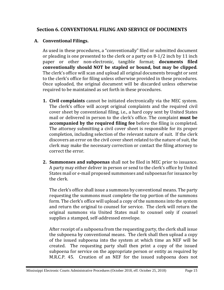# <span id="page-17-0"></span>**Section 6. CONVENTIONAL FILING AND SERVICE OF DOCUMENTS**

#### <span id="page-17-1"></span>**A. Conventional Filings.**

As used in these procedures, a "conventionally" filed or submitted document or pleading is one presented to the clerk or a party on 8-1/2 inch by 11 inch paper or other non-electronic, tangible format; **documents filed conventionally should NOT be stapled or bound, but may be clipped**. The clerk's office will scan and upload all original documents brought or sent to the clerk's office for filing unless otherwise provided in these procedures. Once uploaded, the original document will be discarded unless otherwise required to be maintained as set forth in these procedures.

- <span id="page-17-2"></span>**1. Civil complaints** cannot be initiated electronically via the MEC system. The clerk's office will accept original complaints and the required civil cover sheet by conventional filing, i.e., a hard copy sent by United States mail or delivered in person to the clerk's office. The complaint **must be accompanied by the required filing fee** before the filing is completed. The attorney submitting a civil cover sheet is responsible for its proper completion, including selection of the relevant nature of suit. If the clerk discovers an error on the civil cover sheet related to the nature of suit, the clerk may make the necessary correction or contact the filing attorney to correct the error.
- <span id="page-17-3"></span>**2. Summonses and subpoenas** shall not be filed in MEC prior to issuance. A party may either deliver in person or send to the clerk's office by United States mail or e-mail proposed summonses and subpoenas for issuance by the clerk.

The clerk's office shall issue a summons by conventional means. The party requesting the summons must complete the top portion of the summons form. The clerk's office will upload a copy of the summons into the system and return the original to counsel for service. The clerk will return the original summons via United States mail to counsel only if counsel supplies a stamped, self-addressed envelope.

After receipt of a subpoena from the requesting party, the clerk shall issue the subpoena by conventional means. The clerk shall then upload a copy of the issued subpoena into the system at which time an NEF will be created. The requesting party shall then print a copy of the issued subpoena for service on the appropriate person or entity as required by M.R.C.P. 45. Creation of an NEF for the issued subpoena does not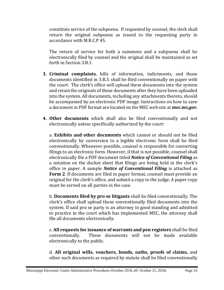constitute service of the subpoena. If requested by counsel, the clerk shall return the original subpoena as issued to the requesting party in accordance with M.R.C.P 45.

The return of service for both a summons and a subpoena shall be electronically filed by counsel and the original shall be maintained as set forth in Section 3.B.1.

- <span id="page-18-0"></span>**3. Criminal complaints**, bills of information, indictments, and those documents identified in 3.B.3. shall be filed conventionally on paper with the court. The clerk's office will upload these documents into the system and retain the originals of these documents after they have been uploaded into the system. All documents, including any attachments thereto, should be accompanied by an electronic PDF image. Instructions on how to save a document in PDF format are located on the MEC web site at *mec.ms.gov*.
- <span id="page-18-1"></span>**4. Other documents** which shall also be filed conventionally and not electronically unless specifically authorized by the court:

a. **Exhibits and other documents** which cannot or should not be filed electronically by conversion to a legible electronic form shall be filed conventionally. Whenever possible, counsel is responsible for converting filings to an electronic form. However, if that is not possible, counsel shall electronically file a PDF document titled *Notice of Conventional Filing* as a notation on the docket sheet that filings are being held in the clerk's office in paper. A sample *Notice of Conventional Filing* is attached as **Form 2**. If documents are filed in paper format, counsel must provide an original for the clerk's office, and submit a copy to the judge. A paper copy must be served on all parties in the case.

b. **Documents filed by pro se litigants** shall be filed conventionally. The clerk's office shall upload these conventionally filed documents into the system. If said pro se party is an attorney in good standing and admitted to practice in the court which has implemented MEC, the attorney shall file all documents electronically.

c. **All requests for issuance of warrants and pen registers** shall be filed These documents will not be made available electronically to the public.

d. **All original wills, vouchers, bonds, oaths, proofs of claims,** and other such documents as required by statute shall be filed conventionally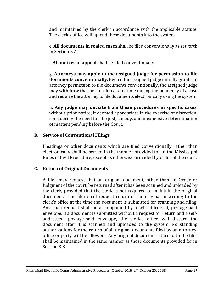and maintained by the clerk in accordance with the applicable statute. The clerk's office will upload these documents into the system.

e. **All documents in sealed cases** shall be filed conventionally as set forth in Section 5.A.

f. **All notices of appeal** shall be filed conventionally.

g. **Attorneys may apply to the assigned judge for permission to file documents conventionally.** Even if the assigned judge initially grants an attorney permission to file documents conventionally, the assigned judge may withdraw that permission at any time during the pendency of a case and require the attorney to file documents electronically using the system.

h. **Any judge may deviate from these procedures in specific cases**, without prior notice, if deemed appropriate in the exercise of discretion, considering the need for the just, speedy, and inexpensive determination of matters pending before the Court.

# <span id="page-19-0"></span>**B. Service of Conventional Filings**

Pleadings or other documents which are filed conventionally rather than electronically shall be served in the manner provided for in the Mississippi Rules of Civil Procedure, except as otherwise provided by order of the court.

# <span id="page-19-1"></span>**C. Return of Original Documents**

A filer may request that an original document, other than an Order or Judgment of the court, be returned after it has been scanned and uploaded by the clerk, provided that the clerk is not required to maintain the original document. The filer shall request return of the original in writing to the clerk's office at the time the document is submitted for scanning and filing. Any such request shall be accompanied by a self-addressed, postage-paid envelope. If a document is submitted without a request for return and a selfaddressed, postage-paid envelope, the clerk's office will discard the document after it is scanned and uploaded to the system. No standing authorizations for the return of all original documents filed by an attorney, office or party will be allowed. Any original document returned to the filer shall be maintained in the same manner as those documents provided for in Section 3.B.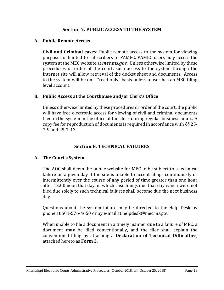# **Section 7. PUBLIC ACCESS TO THE SYSTEM**

#### <span id="page-20-1"></span><span id="page-20-0"></span>**A. Public Remote Access**

**Civil and Criminal cases:** Public remote access to the system for viewing purposes is limited to subscribers to PAMEC. PAMEC users may access the system at the MEC website at *mec.ms.gov*. Unless otherwise limited by these procedures or order of the court, such access to the system through the Internet site will allow retrieval of the docket sheet and documents. Access to the system will be on a "read only" basis unless a user has an MEC filing level account.

#### <span id="page-20-2"></span>**B. Public Access at the Courthouse and/or Clerk's Office**

Unless otherwise limited by these procedures or order of the court, the public will have free electronic access for viewing of civil and criminal documents filed in the system in the office of the clerk during regular business hours. A copy fee for reproduction of documents is required in accordance with §§ 25- 7-9 and 25-7-13.

# **Section 8. TECHNICAL FAILURES**

#### <span id="page-20-4"></span><span id="page-20-3"></span>**A. The Court's System**

The AOC shall deem the public website for MEC to be subject to a technical failure on a given day if the site is unable to accept filings continuously or intermittently over the course of any period of time greater than one hour after 12:00 noon that day, in which case filings due that day which were not filed due solely to such technical failures shall become due the next business day.

Questions about the system failure may be directed to the Help Desk by phone at 601-576-4650 or by e-mail at helpdesk@mec.ms.gov.

When unable to file a document in a timely manner due to a failure of MEC, a document **may** be filed conventionally, and the filer shall explain the conventional filing by attaching a **Declaration of Technical Difficulties**, attached hereto as **Form 3**.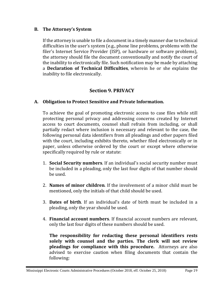#### <span id="page-21-0"></span>**B. The Attorney's System**

If the attorney is unable to file a document in a timely manner due to technical difficulties in the user's system (e.g., phone line problems, problems with the filer's Internet Service Provider (ISP), or hardware or software problems), the attorney should file the document conventionally and notify the court of the inability to electronically file. Such notification may be made by attaching a **Declaration of Technical Difficulties**, wherein he or she explains the inability to file electronically.

## **Section 9. PRIVACY**

#### <span id="page-21-2"></span><span id="page-21-1"></span>**A. Obligation to Protect Sensitive and Private Information.**

To achieve the goal of promoting electronic access to case files while still protecting personal privacy and addressing concerns created by Internet access to court documents, counsel shall refrain from including, or shall partially redact where inclusion is necessary and relevant to the case, the following personal data identifiers from all pleadings and other papers filed with the court, including exhibits thereto, whether filed electronically or in paper, unless otherwise ordered by the court or except where otherwise specifically required by rule or statute:

- 1. **Social Security numbers**. If an individual's social security number must be included in a pleading, only the last four digits of that number should be used.
- 2. **Names of minor children**. If the involvement of a minor child must be mentioned, only the initials of that child should be used.
- 3. **Dates of birth**. If an individual's date of birth must be included in a pleading, only the year should be used.
- 4. **Financial account numbers**. If financial account numbers are relevant, only the last four digits of these numbers should be used.

**The responsibility for redacting these personal identifiers rests solely with counsel and the parties. The clerk will not review pleadings for compliance with this procedure.** Attorneys are also advised to exercise caution when filing documents that contain the following: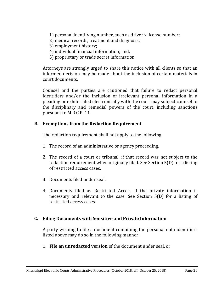1) personal identifying number, such as driver's license number;

- 2) medical records, treatment and diagnosis;
- 3) employment history;
- 4) individual financial information; and,
- 5) proprietary or trade secret information.

Attorneys are strongly urged to share this notice with all clients so that an informed decision may be made about the inclusion of certain materials in court documents.

Counsel and the parties are cautioned that failure to redact personal identifiers and/or the inclusion of irrelevant personal information in a pleading or exhibit filed electronically with the court may subject counsel to the disciplinary and remedial powers of the court, including sanctions pursuant to M.R.C.P. 11.

#### <span id="page-22-0"></span>**B. Exemptions from the Redaction Requirement**

The redaction requirement shall not apply to the following:

- 1. The record of an administrative or agency proceeding.
- 2. The record of a court or tribunal, if that record was not subject to the redaction requirement when originally filed. See Section 5(D) for a listing of restricted access cases.
- 3. Documents filed under seal.
- 4. Documents filed as Restricted Access if the private information is necessary and relevant to the case. See Section 5(D) for a listing of restricted access cases.

#### <span id="page-22-1"></span>**C. Filing Documents with Sensitive and Private Information**

A party wishing to file a document containing the personal data identifiers listed above may do so in the following manner:

1. **File an unredacted version** of the document under seal, or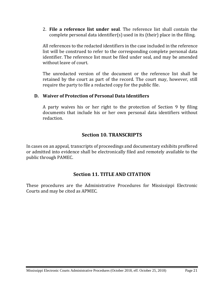2. **File a reference list under seal**. The reference list shall contain the complete personal data identifier(s) used in its (their) place in the filing.

All references to the redacted identifiers in the case included in the reference list will be construed to refer to the corresponding complete personal data identifier. The reference list must be filed under seal, and may be amended without leave of court.

The unredacted version of the document or the reference list shall be retained by the court as part of the record. The court may, however, still require the party to file a redacted copy for the public file.

#### <span id="page-23-0"></span>**D. Waiver of Protection of Personal Data Identifiers**

A party waives his or her right to the protection of Section 9 by filing documents that include his or her own personal data identifiers without redaction.

## **Section 10. TRANSCRIPTS**

<span id="page-23-1"></span>In cases on an appeal, transcripts of proceedings and documentary exhibits proffered or admitted into evidence shall be electronically filed and remotely available to the public through PAMEC.

## **Section 11. TITLE AND CITATION**

These procedures are the Administrative Procedures for Mississippi Electronic Courts and may be cited as APMEC.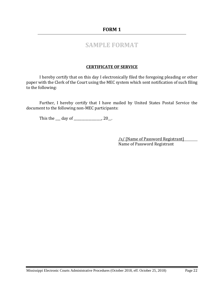#### **FORM 1**

# **SAMPLE FORMAT**

#### **CERTIFICATE OF SERVICE**

<span id="page-24-0"></span>I hereby certify that on this day I electronically filed the foregoing pleading or other paper with the Clerk of the Court using the MEC system which sent notification of such filing to the following:

Further, I hereby certify that I have mailed by United States Postal Service the document to the following non-MEC participants:

This the <u>day of \_\_\_\_\_\_\_\_</u>, 20\_.

/s/ [Name of Password Registrant] Name of Password Registrant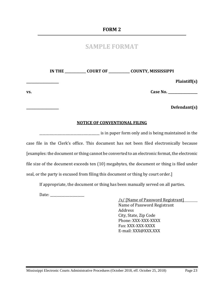# **SAMPLE FORMAT**

<span id="page-25-0"></span>**IN THE \_\_\_\_\_\_\_\_\_\_\_\_\_ COURT OF \_\_\_\_\_\_\_\_\_\_\_\_\_ COUNTY, MISSISSIPPI \_\_\_\_\_\_\_\_\_\_\_\_\_\_\_\_\_\_\_\_ Plaintiff(s)**

**vs. Case No. \_\_\_\_\_\_\_\_\_\_\_\_\_\_\_\_\_\_**

**\_\_\_\_\_\_\_\_\_\_\_\_\_\_\_\_\_\_\_\_ Defendant(s)**

#### **NOTICE OF CONVENTIONAL FILING**

\_\_\_\_\_\_\_\_\_\_\_\_\_\_\_\_\_\_\_\_\_\_\_\_\_\_\_\_\_\_\_\_\_\_\_\_\_ is in paper form only and is being maintained in the case file in the Clerk's office. This document has not been filed electronically because [examples: the document or thing cannot be converted to an electronic format, the electronic file size of the document exceeds ten (10) megabytes, the document or thing is filed under seal, or the party is excused from filing this document or thing by court order.]

If appropriate, the document or thing has been manually served on all parties.

Date: \_\_\_\_\_\_\_\_\_\_\_\_\_\_\_\_\_\_\_\_\_

/s/ [Name of Password Registrant] Name of Password Registrant Address City, State, Zip Code Phone: XXX-XXX-XXXX Fax: XXX-XXX-XXXX E-mail: XXX@XXX.XXX